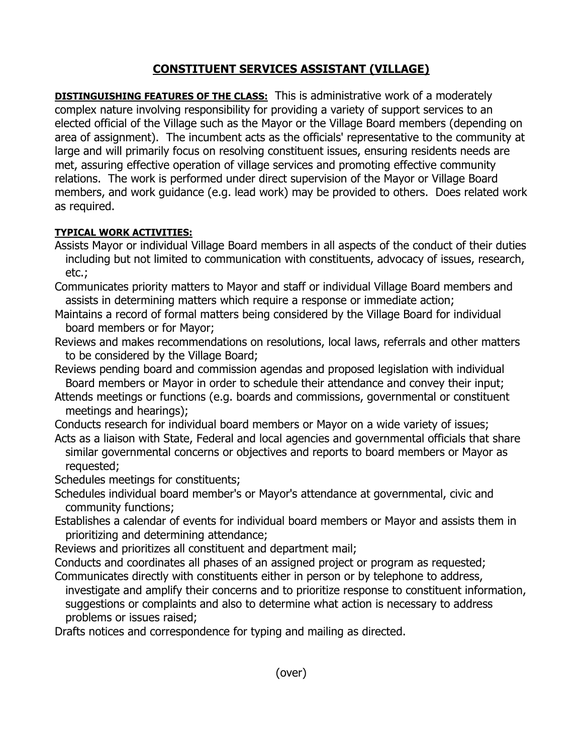## **CONSTITUENT SERVICES ASSISTANT (VILLAGE)**

**DISTINGUISHING FEATURES OF THE CLASS:** This is administrative work of a moderately complex nature involving responsibility for providing a variety of support services to an elected official of the Village such as the Mayor or the Village Board members (depending on area of assignment). The incumbent acts as the officials' representative to the community at large and will primarily focus on resolving constituent issues, ensuring residents needs are met, assuring effective operation of village services and promoting effective community relations. The work is performed under direct supervision of the Mayor or Village Board members, and work guidance (e.g. lead work) may be provided to others. Does related work as required.

## **TYPICAL WORK ACTIVITIES:**

- Assists Mayor or individual Village Board members in all aspects of the conduct of their duties including but not limited to communication with constituents, advocacy of issues, research, etc.;
- Communicates priority matters to Mayor and staff or individual Village Board members and assists in determining matters which require a response or immediate action;
- Maintains a record of formal matters being considered by the Village Board for individual board members or for Mayor;
- Reviews and makes recommendations on resolutions, local laws, referrals and other matters to be considered by the Village Board;
- Reviews pending board and commission agendas and proposed legislation with individual Board members or Mayor in order to schedule their attendance and convey their input;
- Attends meetings or functions (e.g. boards and commissions, governmental or constituent meetings and hearings);
- Conducts research for individual board members or Mayor on a wide variety of issues;
- Acts as a liaison with State, Federal and local agencies and governmental officials that share similar governmental concerns or objectives and reports to board members or Mayor as requested;
- Schedules meetings for constituents;
- Schedules individual board member's or Mayor's attendance at governmental, civic and community functions;
- Establishes a calendar of events for individual board members or Mayor and assists them in prioritizing and determining attendance;
- Reviews and prioritizes all constituent and department mail;
- Conducts and coordinates all phases of an assigned project or program as requested;
- Communicates directly with constituents either in person or by telephone to address, investigate and amplify their concerns and to prioritize response to constituent information, suggestions or complaints and also to determine what action is necessary to address problems or issues raised;

Drafts notices and correspondence for typing and mailing as directed.